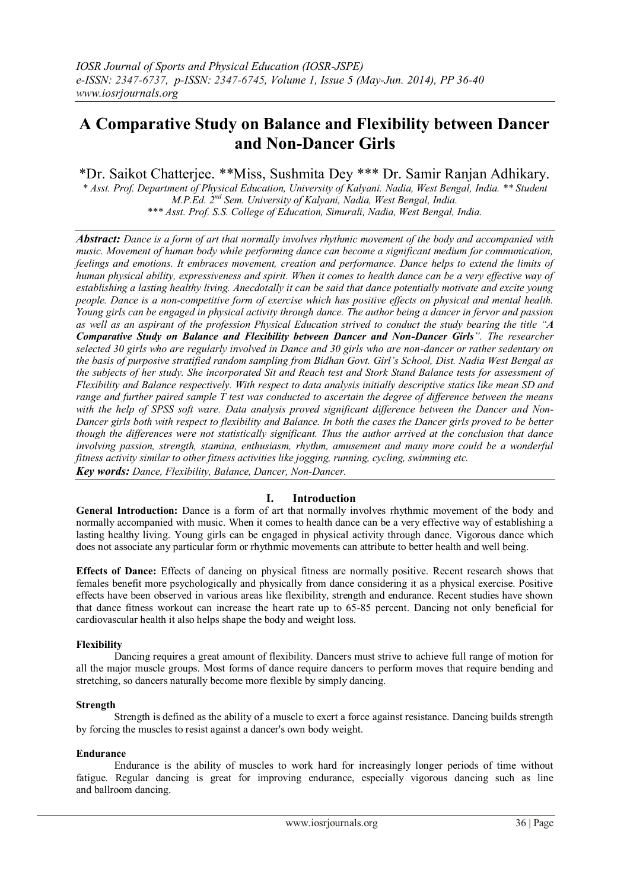# **A Comparative Study on Balance and Flexibility between Dancer and Non-Dancer Girls**

\*Dr. Saikot Chatterjee. \*\*Miss, Sushmita Dey \*\*\* Dr. Samir Ranjan Adhikary.

*\* Asst. Prof. Department of Physical Education, University of Kalyani. Nadia, West Bengal, India. \*\* Student M.P.Ed. 2nd Sem. University of Kalyani, Nadia, West Bengal, India. \*\*\* Asst. Prof. S.S. College of Education, Simurali, Nadia, West Bengal, India.*

*Abstract: Dance is a form of art that normally involves rhythmic movement of the body and accompanied with music. Movement of human body while performing dance can become a significant medium for communication, feelings and emotions. It embraces movement, creation and performance. Dance helps to extend the limits of human physical ability, expressiveness and spirit. When it comes to health dance can be a very effective way of establishing a lasting healthy living. Anecdotally it can be said that dance potentially motivate and excite young people. Dance is a non-competitive form of exercise which has positive effects on physical and mental health. Young girls can be engaged in physical activity through dance. The author being a dancer in fervor and passion as well as an aspirant of the profession Physical Education strived to conduct the study bearing the title "A Comparative Study on Balance and Flexibility between Dancer and Non-Dancer Girls". The researcher selected 30 girls who are regularly involved in Dance and 30 girls who are non-dancer or rather sedentary on the basis of purposive stratified random sampling from Bidhan Govt. Girl's School, Dist. Nadia West Bengal as the subjects of her study. She incorporated Sit and Reach test and Stork Stand Balance tests for assessment of Flexibility and Balance respectively. With respect to data analysis initially descriptive statics like mean SD and range and further paired sample T test was conducted to ascertain the degree of difference between the means with the help of SPSS soft ware. Data analysis proved significant difference between the Dancer and Non-Dancer girls both with respect to flexibility and Balance. In both the cases the Dancer girls proved to be better though the differences were not statistically significant. Thus the author arrived at the conclusion that dance involving passion, strength, stamina, enthusiasm, rhythm, amusement and many more could be a wonderful fitness activity similar to other fitness activities like jogging, running, cycling, swimming etc. Key words: Dance, Flexibility, Balance, Dancer, Non-Dancer.*

## **I. Introduction**

**General Introduction:** Dance is a form of art that normally involves rhythmic movement of the body and normally accompanied with music. When it comes to health dance can be a very effective way of establishing a lasting healthy living. Young girls can be engaged in physical activity through dance. Vigorous dance which does not associate any particular form or rhythmic movements can attribute to better health and well being.

**Effects of Dance:** Effects of dancing on physical fitness are normally positive. Recent research shows that females benefit more psychologically and physically from dance considering it as a physical exercise. Positive effects have been observed in various areas like flexibility, strength and endurance. Recent studies have shown that dance fitness workout can increase the heart rate up to 65-85 percent. Dancing not only beneficial for cardiovascular health it also helps shape the body and weight loss.

## **Flexibility**

Dancing requires a great amount of flexibility. Dancers must strive to achieve full range of motion for all the major muscle groups. Most forms of dance require dancers to perform moves that require bending and stretching, so dancers naturally become more flexible by simply dancing.

#### **Strength**

Strength is defined as the ability of a muscle to exert a force against resistance. Dancing builds strength by forcing the muscles to resist against a dancer's own body weight.

#### **Endurance**

Endurance is the ability of muscles to work hard for increasingly longer periods of time without fatigue. Regular dancing is great for improving endurance, especially vigorous dancing such as line and ballroom dancing.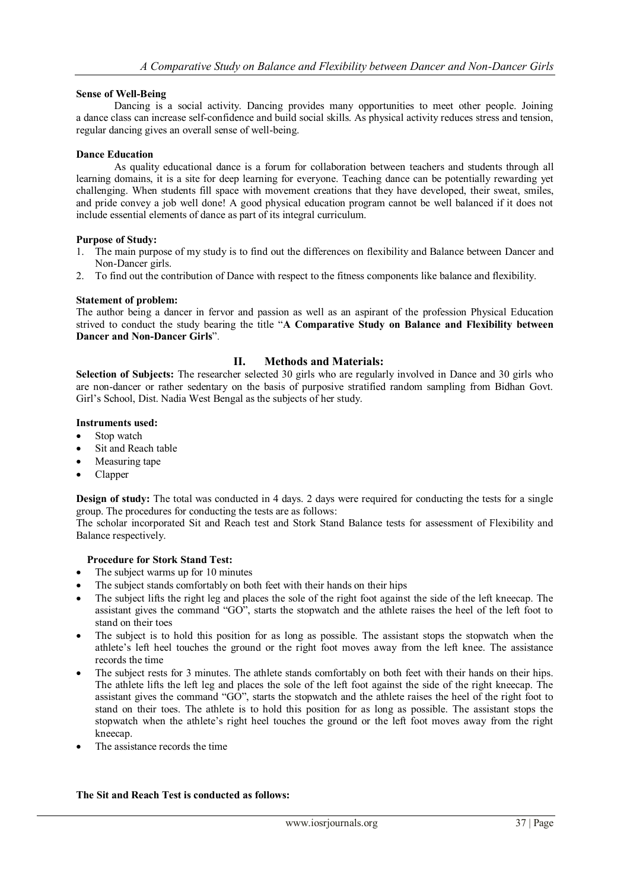## **Sense of Well-Being**

Dancing is a social activity. Dancing provides many opportunities to meet other people. Joining a dance class can increase self-confidence and build social skills. As physical activity reduces stress and tension, regular dancing gives an overall sense of well-being.

## **Dance Education**

As quality educational dance is a forum for collaboration between teachers and students through all learning domains, it is a site for deep learning for everyone. Teaching dance can be potentially rewarding yet challenging. When students fill space with movement creations that they have developed, their sweat, smiles, and pride convey a job well done! A good physical education program cannot be well balanced if it does not include essential elements of dance as part of its integral curriculum.

#### **Purpose of Study:**

- 1. The main purpose of my study is to find out the differences on flexibility and Balance between Dancer and Non-Dancer girls.
- 2. To find out the contribution of Dance with respect to the fitness components like balance and flexibility.

#### **Statement of problem:**

The author being a dancer in fervor and passion as well as an aspirant of the profession Physical Education strived to conduct the study bearing the title "**A Comparative Study on Balance and Flexibility between Dancer and Non-Dancer Girls**".

## **II. Methods and Materials:**

**Selection of Subjects:** The researcher selected 30 girls who are regularly involved in Dance and 30 girls who are non-dancer or rather sedentary on the basis of purposive stratified random sampling from Bidhan Govt. Girl's School, Dist. Nadia West Bengal as the subjects of her study.

#### **Instruments used:**

- Stop watch
- Sit and Reach table
- Measuring tape
- Clapper

**Design of study:** The total was conducted in 4 days. 2 days were required for conducting the tests for a single group. The procedures for conducting the tests are as follows:

The scholar incorporated Sit and Reach test and Stork Stand Balance tests for assessment of Flexibility and Balance respectively.

## **Procedure for Stork Stand Test:**

- The subject warms up for 10 minutes
- The subject stands comfortably on both feet with their hands on their hips
- The subject lifts the right leg and places the sole of the right foot against the side of the left kneecap. The assistant gives the command "GO", starts the stopwatch and the athlete raises the heel of the left foot to stand on their toes
- The subject is to hold this position for as long as possible. The assistant stops the stopwatch when the athlete's left heel touches the ground or the right foot moves away from the left knee. The assistance records the time
- The subject rests for 3 minutes. The athlete stands comfortably on both feet with their hands on their hips. The athlete lifts the left leg and places the sole of the left foot against the side of the right kneecap. The assistant gives the command "GO", starts the stopwatch and the athlete raises the heel of the right foot to stand on their toes. The athlete is to hold this position for as long as possible. The assistant stops the stopwatch when the athlete's right heel touches the ground or the left foot moves away from the right kneecap.
- The assistance records the time

## **The Sit and Reach Test is conducted as follows:**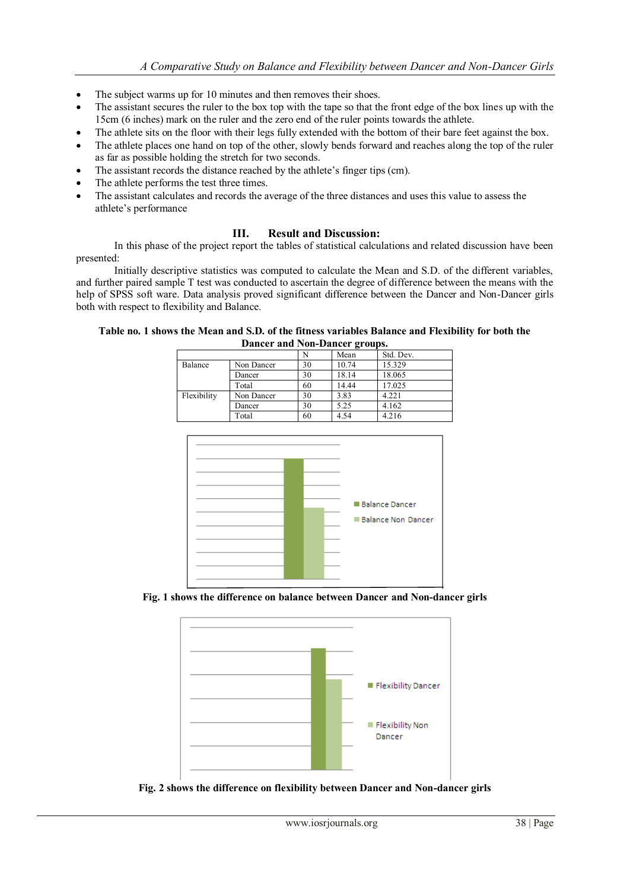- The subject warms up for 10 minutes and then removes their shoes.
- The assistant secures the ruler to the box top with the tape so that the front edge of the box lines up with the 15cm (6 inches) mark on the ruler and the zero end of the ruler points towards the athlete.
- The athlete sits on the floor with their legs fully extended with the bottom of their bare feet against the box.
- The athlete places one hand on top of the other, slowly bends forward and reaches along the top of the ruler as far as possible holding the stretch for two seconds.
- The assistant records the distance reached by the athlete's finger tips (cm).
- The athlete performs the test three times.
- The assistant calculates and records the average of the three distances and uses this value to assess the athlete's performance

## **III. Result and Discussion:**

In this phase of the project report the tables of statistical calculations and related discussion have been presented:

Initially descriptive statistics was computed to calculate the Mean and S.D. of the different variables, and further paired sample T test was conducted to ascertain the degree of difference between the means with the help of SPSS soft ware. Data analysis proved significant difference between the Dancer and Non-Dancer girls both with respect to flexibility and Balance.

| Table no. 1 shows the Mean and S.D. of the fitness variables Balance and Flexibility for both the<br>Dancer and Non-Dancer groups. |  |      |           |  |  |  |  |
|------------------------------------------------------------------------------------------------------------------------------------|--|------|-----------|--|--|--|--|
|                                                                                                                                    |  | Mean | Std. Dev. |  |  |  |  |

|             |            | N  | Mean  | Std. Dev. |
|-------------|------------|----|-------|-----------|
| Balance     | Non Dancer | 30 | 10.74 | 15.329    |
|             | Dancer     | 30 | 18.14 | 18.065    |
|             | Total      | 60 | 14.44 | 17.025    |
| Flexibility | Non Dancer | 30 | 3.83  | 4.221     |
|             | Dancer     | 30 | 5.25  | 4.162     |
|             | Total      | 60 | 4.54  | 4.216     |



**Fig. 1 shows the difference on balance between Dancer and Non-dancer girls**



**Fig. 2 shows the difference on flexibility between Dancer and Non-dancer girls**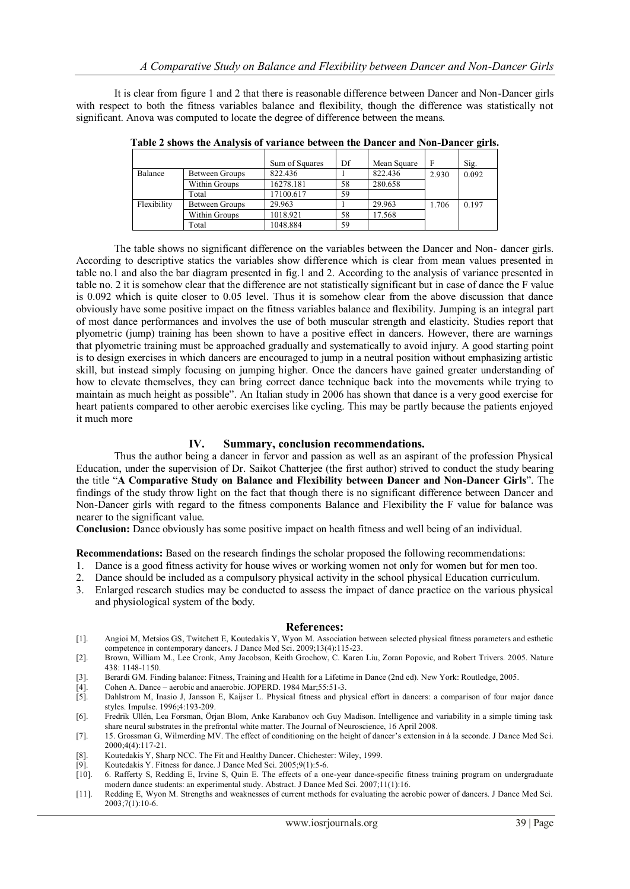It is clear from figure 1 and 2 that there is reasonable difference between Dancer and Non-Dancer girls with respect to both the fitness variables balance and flexibility, though the difference was statistically not significant. Anova was computed to locate the degree of difference between the means.

|             |                | Sum of Squares | Df | Mean Square | F     | Sig.  |
|-------------|----------------|----------------|----|-------------|-------|-------|
| Balance     | Between Groups | 822.436        |    | 822.436     | 2.930 | 0.092 |
|             | Within Groups  | 16278.181      | 58 | 280.658     |       |       |
|             | Total          | 17100.617      | 59 |             |       |       |
| Flexibility | Between Groups | 29.963         |    | 29.963      | 1.706 | 0.197 |
|             | Within Groups  | 1018.921       | 58 | 17.568      |       |       |
|             | Total          | 1048.884       | 59 |             |       |       |

**Table 2 shows the Analysis of variance between the Dancer and Non-Dancer girls.**

The table shows no significant difference on the variables between the Dancer and Non- dancer girls. According to descriptive statics the variables show difference which is clear from mean values presented in table no.1 and also the bar diagram presented in fig.1 and 2. According to the analysis of variance presented in table no. 2 it is somehow clear that the difference are not statistically significant but in case of dance the F value is 0.092 which is quite closer to 0.05 level. Thus it is somehow clear from the above discussion that dance obviously have some positive impact on the fitness variables balance and flexibility. Jumping is an integral part of most dance performances and involves the use of both muscular strength and elasticity. Studies report that plyometric (jump) training has been shown to have a positive effect in dancers. However, there are warnings that plyometric training must be approached gradually and systematically to avoid injury. A good starting point is to design exercises in which dancers are encouraged to jump in a neutral position without emphasizing artistic skill, but instead simply focusing on jumping higher. Once the dancers have gained greater understanding of how to elevate themselves, they can bring correct dance technique back into the movements while trying to maintain as much height as possible". An Italian study in 2006 has shown that dance is a very good exercise for heart patients compared to other [aerobic exercises](https://en.wikipedia.org/wiki/Aerobic_exercise) like [cycling.](https://en.wikipedia.org/wiki/Cycling) This may be partly because the patients enjoyed it much more

## **IV. Summary, conclusion recommendations.**

Thus the author being a dancer in fervor and passion as well as an aspirant of the profession Physical Education, under the supervision of Dr. Saikot Chatterjee (the first author) strived to conduct the study bearing the title "**A Comparative Study on Balance and Flexibility between Dancer and Non-Dancer Girls**". The findings of the study throw light on the fact that though there is no significant difference between Dancer and Non-Dancer girls with regard to the fitness components Balance and Flexibility the F value for balance was nearer to the significant value.

**Conclusion:** Dance obviously has some positive impact on health fitness and well being of an individual.

**Recommendations:** Based on the research findings the scholar proposed the following recommendations:

- 1. Dance is a good fitness activity for house wives or working women not only for women but for men too.
- 2. Dance should be included as a compulsory physical activity in the school physical Education curriculum.
- 3. Enlarged research studies may be conducted to assess the impact of dance practice on the various physical and physiological system of the body.

#### **References:**

- [1]. Angioi M, Metsios GS, Twitchett E, Koutedakis Y, Wyon M. Association between selected physical fitness parameters and esthetic competence in contemporary dancers. J Dance Med Sci. 2009;13(4):115-23.
- [2]. Brown, William M., Lee Cronk, Amy Jacobson, Keith Grochow, C. Karen Liu, Zoran Popovic, and Robert Trivers. 2005. Nature 438: 1148-1150.
- [3]. Berardi GM. Finding balance: Fitness, Training and Health for a Lifetime in Dance (2nd ed). New York: Routledge, 2005.
- [4]. Cohen A. Dance aerobic and anaerobic. JOPERD. 1984 Mar;55:51-3.
- [5]. Dahlstrom M, Inasio J, Jansson E, Kaijser L. Physical fitness and physical effort in dancers: a comparison of four major dance styles. Impulse. 1996;4:193-209.
- [6]. Fredrik Ullén, Lea Forsman, Örjan Blom, Anke Karabanov och Guy Madison. Intelligence and variability in a simple timing task share neural substrates in the prefrontal white matter. The Journal of Neuroscience, 16 April 2008.
- [7]. 15. Grossman G, Wilmerding MV. The effect of conditioning on the height of dancer's extension in à la seconde. J Dance Med Sci. 2000;4(4):117-21.
- [8]. Koutedakis Y, Sharp NCC. The Fit and Healthy Dancer. Chichester: Wiley, 1999.
- [9]. Koutedakis Y. Fitness for dance. J Dance Med Sci. 2005;9(1):5-6.<br>[10]. 6. Rafferty S, Redding E, Irvine S, Quin E. The effects of a on
- [10]. 6. Rafferty S, Redding E, Irvine S, Quin E. The effects of a one-year dance-specific fitness training program on undergraduate modern dance students: an experimental study. Abstract. J Dance Med Sci. 2007;11(1):16.
- [11]. Redding E, Wyon M. Strengths and weaknesses of current methods for evaluating the aerobic power of dancers. J Dance Med Sci.  $2003;7(1):10-6.$